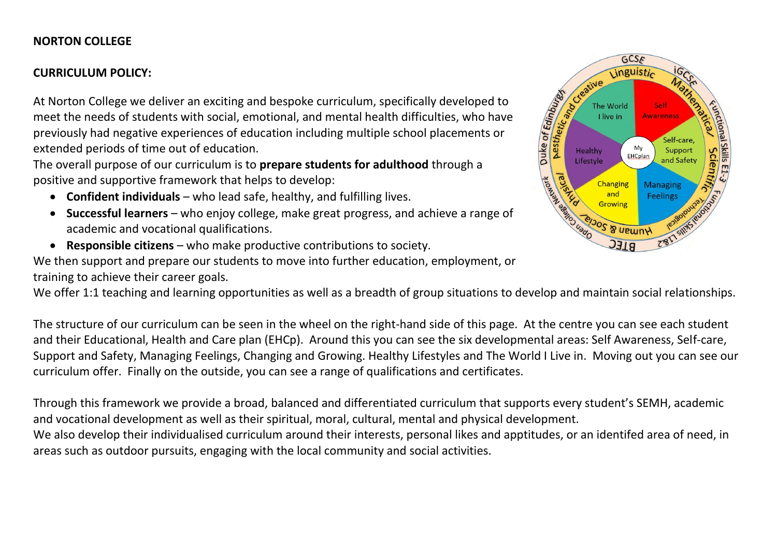## **NORTON COLLEGE**

## **CURRICULUM POLICY:**

At Norton College we deliver an exciting and bespoke curriculum, specifically developed to meet the needs of students with social, emotional, and mental health difficulties, who have previously had negative experiences of education including multiple school placements or extended periods of time out of education.

The overall purpose of our curriculum is to **prepare students for adulthood** through a positive and supportive framework that helps to develop:

- **Confident individuals** who lead safe, healthy, and fulfilling lives.
- **Successful learners** who enjoy college, make great progress, and achieve a range of academic and vocational qualifications.
- **Responsible citizens** who make productive contributions to society.

We then support and prepare our students to move into further education, employment, or training to achieve their career goals.

We offer 1:1 teaching and learning opportunities as well as a breadth of group situations to develop and maintain social relationships.

The structure of our curriculum can be seen in the wheel on the right-hand side of this page. At the centre you can see each student and their Educational, Health and Care plan (EHCp). Around this you can see the six developmental areas: Self Awareness, Self-care, Support and Safety, Managing Feelings, Changing and Growing. Healthy Lifestyles and The World I Live in. Moving out you can see our curriculum offer. Finally on the outside, you can see a range of qualifications and certificates.

Through this framework we provide a broad, balanced and differentiated curriculum that supports every student's SEMH, academic and vocational development as well as their spiritual, moral, cultural, mental and physical development.

We also develop their individualised curriculum around their interests, personal likes and apptitudes, or an identifed area of need, in areas such as outdoor pursuits, engaging with the local community and social activities.

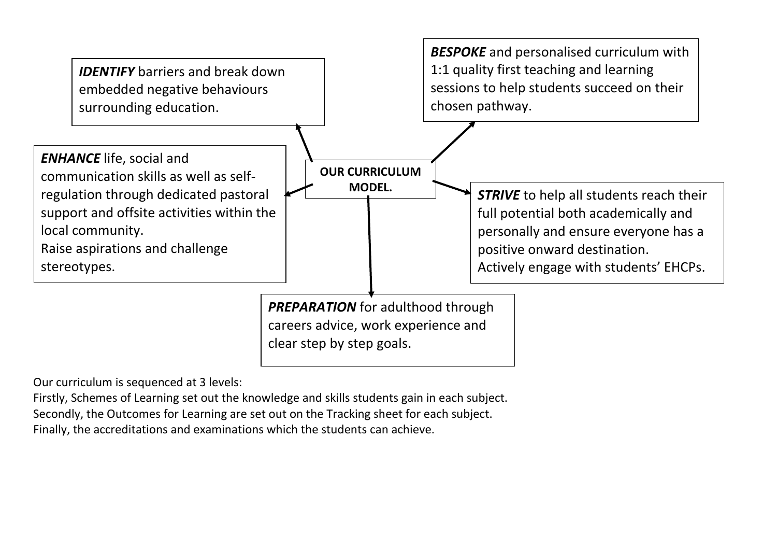

Our curriculum is sequenced at 3 levels:

Firstly, Schemes of Learning set out the knowledge and skills students gain in each subject.

Secondly, the Outcomes for Learning are set out on the Tracking sheet for each subject.

Finally, the accreditations and examinations which the students can achieve.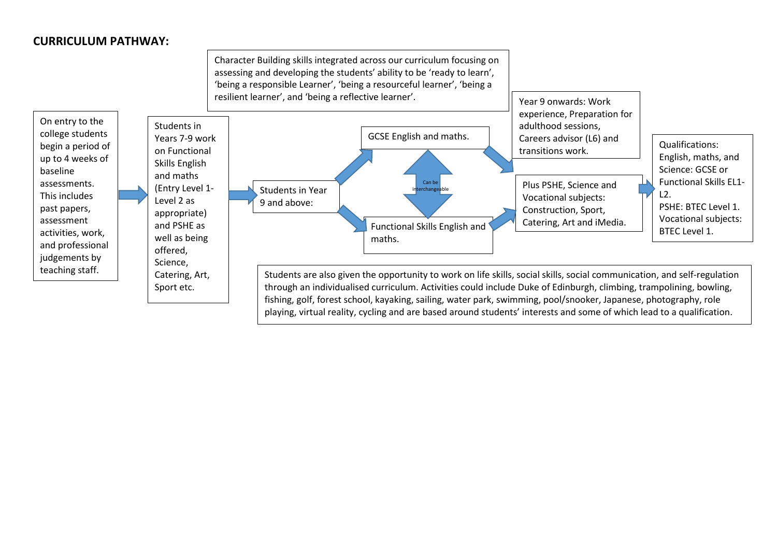## **CURRICULUM PATHWAY:**